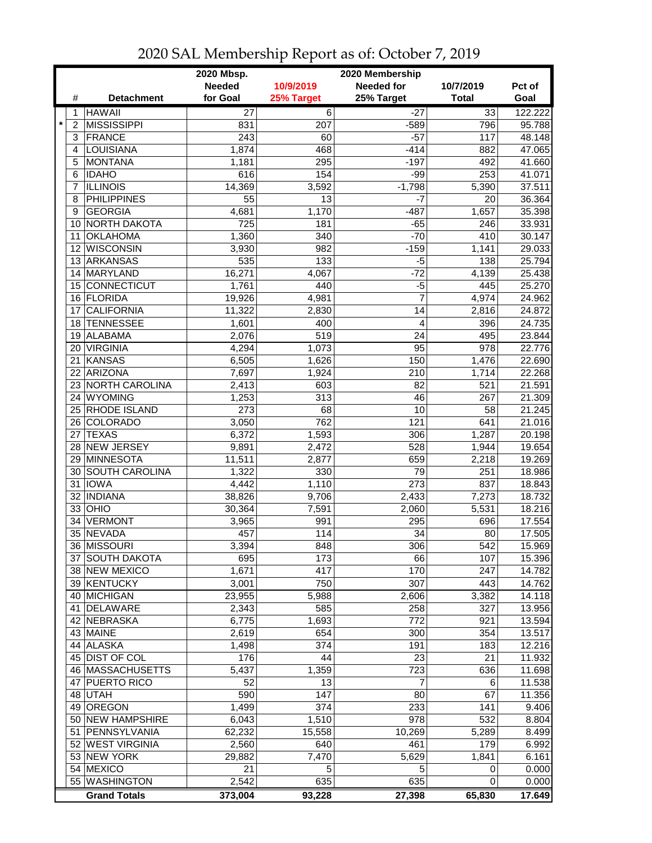|                           |                       | 2020 Mbsp.<br>2020 Membership |                |                  |                |                  |
|---------------------------|-----------------------|-------------------------------|----------------|------------------|----------------|------------------|
|                           |                       | <b>Needed</b>                 | 10/9/2019      | Needed for       | 10/7/2019      | Pct of           |
| #                         | <b>Detachment</b>     | for Goal                      | 25% Target     | 25% Target       | <b>Total</b>   | Goal             |
| 1                         | <b>HAWAII</b>         | 27                            | $\overline{6}$ | $-27$            | 33             | 122.222          |
| $\star$<br>$\overline{2}$ | <b>MISSISSIPPI</b>    | 831                           | 207            | $-589$           | 796            | 95.788           |
| 3                         | <b>FRANCE</b>         | 243                           | 60             | $-57$            | 117            | 48.148           |
| 4                         | LOUISIANA             | 1,874                         | 468            | $-414$           | 882            | 47.065           |
| 5                         | <b>MONTANA</b>        | 1,181                         | 295            | $-197$           | 492            | 41.660           |
| 6                         | <b>IDAHO</b>          | 616                           | 154            | $-99$            | 253            | 41.071           |
| 7                         | <b>ILLINOIS</b>       | 14,369                        | 3,592          | $-1,798$         | 5,390          | 37.511           |
| 8                         | <b>PHILIPPINES</b>    | 55                            | 13             | $-7$             | 20             | 36.364           |
| 9                         | <b>GEORGIA</b>        | 4,681                         | 1,170          | $-487$           | 1,657          | 35.398           |
| 10                        | <b>NORTH DAKOTA</b>   | 725                           | 181            | $-65$            | 246            | 33.931           |
| 11                        | <b>OKLAHOMA</b>       | 1,360                         | 340            | $-70$            | 410            | 30.147           |
| 12                        | <b>WISCONSIN</b>      | 3,930                         | 982            | $-159$           | 1,141          | 29.033           |
| 13                        | ARKANSAS              | 535                           | 133            | $-5$             | 138            | 25.794           |
| 14                        | MARYLAND              | 16,271                        | 4,067          | $-72$            | 4,139          | 25.438           |
| 15                        | CONNECTICUT           | 1,761                         | 440            | $-5$             | 445            | 25.270           |
| 16                        | FLORIDA               | 19,926                        | 4,981          | $\overline{7}$   | 4,974          | 24.962           |
| 17                        | <b>CALIFORNIA</b>     | 11,322                        | 2,830          | 14               | 2,816          | 24.872           |
| 18                        | <b>TENNESSEE</b>      | 1,601                         | 400            | 4                | 396            | 24.735           |
| 19                        | ALABAMA               | 2,076                         | 519            | 24               | 495            | 23.844           |
| 20                        | <b>VIRGINIA</b>       | 4,294                         | 1,073          | 95               | 978            | 22.776           |
| 21                        | <b>KANSAS</b>         | 6,505                         | 1,626          | 150              | 1,476          | 22.690           |
| 22                        | <b>ARIZONA</b>        | 7,697                         | 1,924          | 210              | 1,714          | 22.268           |
| 23                        | NORTH CAROLINA        | 2,413                         | 603            | 82               | 521            | 21.591           |
| 24                        | <b>WYOMING</b>        | 1,253                         | 313            | 46               | 267            | 21.309           |
| 25                        | <b>RHODE ISLAND</b>   | 273                           | 68             | 10               | 58             | 21.245           |
|                           | 26 COLORADO           | 3,050                         | 762            | 121              | 641            | 21.016           |
| 27                        | <b>TEXAS</b>          | 6,372                         | 1,593          | $\overline{306}$ | 1,287          | 20.198           |
|                           | NEW JERSEY            |                               | 2,472          | 528              |                |                  |
| 28<br>29                  | MINNESOTA             | 9,891<br>11,511               | 2,877          | 659              | 1,944<br>2,218 | 19.654<br>19.269 |
| 30                        | <b>SOUTH CAROLINA</b> | 1,322                         | 330            | 79               | 251            | 18.986           |
| 31                        | <b>IOWA</b>           | 4,442                         | 1,110          | 273              | 837            | 18.843           |
| 32                        | <b>INDIANA</b>        |                               |                |                  |                |                  |
|                           | OHIO                  | 38,826                        | 9,706          | 2,433            | 7,273          | 18.732           |
| 33<br>34                  |                       | 30,364                        | 7,591          | 2,060            | 5,531          | 18.216           |
|                           | <b>VERMONT</b>        | 3,965                         | 991            | 295              | 696            | 17.554           |
|                           | 35 NEVADA             | 457                           | 114            | 34               | 80             | 17.505           |
|                           | 36 MISSOURI           | 3,394                         | 848            | 306              | 542            | 15.969           |
| 37                        | <b>SOUTH DAKOTA</b>   | 695                           | 173            | 66               | 107            | 15.396           |
|                           | 38 NEW MEXICO         | 1,671                         | 417            | 170              | 247            | 14.782           |
|                           | 39 KENTUCKY           | 3,001                         | 750            | 307              | 443            | 14.762           |
| 40                        | <b>MICHIGAN</b>       | 23,955                        | 5,988          | 2,606            | 3,382          | 14.118           |
| 41                        | <b>DELAWARE</b>       | 2,343                         | 585            | 258              | 327            | 13.956           |
| 42                        | NEBRASKA              | 6,775                         | 1,693          | 772              | 921            | 13.594           |
|                           | 43 MAINE              | 2,619                         | 654            | 300              | 354            | 13.517           |
|                           | 44 ALASKA             | 1,498                         | 374            | 191              | 183            | 12.216           |
|                           | 45 DIST OF COL        | 176                           | 44             | 23               | 21             | 11.932           |
|                           | 46 MASSACHUSETTS      | 5,437                         | 1,359          | 723              | 636            | 11.698           |
|                           | 47 PUERTO RICO        | 52                            | 13             | 7                | 6              | 11.538           |
|                           | 48 UTAH               | 590                           | 147            | 80               | 67             | 11.356           |
| 49                        | <b>OREGON</b>         | 1,499                         | 374            | 233              | 141            | 9.406            |
|                           | 50 NEW HAMPSHIRE      | 6,043                         | 1,510          | 978              | 532            | 8.804            |
| 51                        | PENNSYLVANIA          | 62,232                        | 15,558         | 10,269           | 5,289          | 8.499            |
|                           | 52 WEST VIRGINIA      | 2,560                         | 640            | 461              | 179            | 6.992            |
|                           | 53 NEW YORK           | 29,882                        | 7,470          | 5,629            | 1,841          | 6.161            |
| 54                        | <b>MEXICO</b>         | 21                            | 5              | 5                | 0              | 0.000            |
|                           | 55 WASHINGTON         | 2,542                         | 635            | 635              | 0              | 0.000            |
|                           | <b>Grand Totals</b>   | 373,004                       | 93,228         | 27,398           | 65,830         | 17.649           |

## 2020 SAL Membership Report as of: October 7, 2019